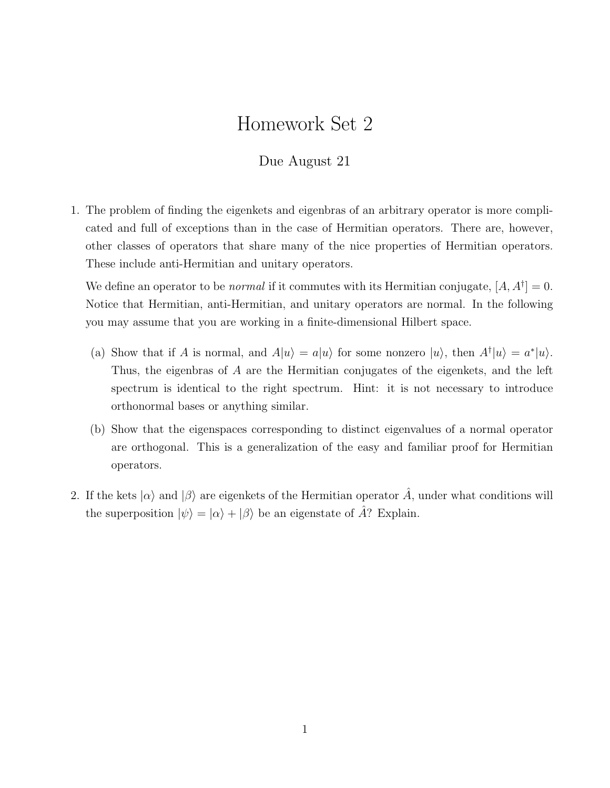## Homework Set 2

## Due August 21

1. The problem of finding the eigenkets and eigenbras of an arbitrary operator is more complicated and full of exceptions than in the case of Hermitian operators. There are, however, other classes of operators that share many of the nice properties of Hermitian operators. These include anti-Hermitian and unitary operators.

We define an operator to be *normal* if it commutes with its Hermitian conjugate,  $[A, A^{\dagger}] = 0$ . Notice that Hermitian, anti-Hermitian, and unitary operators are normal. In the following you may assume that you are working in a finite-dimensional Hilbert space.

- (a) Show that if A is normal, and  $A|u\rangle = a|u\rangle$  for some nonzero  $|u\rangle$ , then  $A^{\dagger}|u\rangle = a^*|u\rangle$ . Thus, the eigenbras of A are the Hermitian conjugates of the eigenkets, and the left spectrum is identical to the right spectrum. Hint: it is not necessary to introduce orthonormal bases or anything similar.
- (b) Show that the eigenspaces corresponding to distinct eigenvalues of a normal operator are orthogonal. This is a generalization of the easy and familiar proof for Hermitian operators.
- 2. If the kets  $|\alpha\rangle$  and  $|\beta\rangle$  are eigenkets of the Hermitian operator  $\hat{A}$ , under what conditions will the superposition  $|\psi\rangle = |\alpha\rangle + |\beta\rangle$  be an eigenstate of  $\hat{A}$ ? Explain.